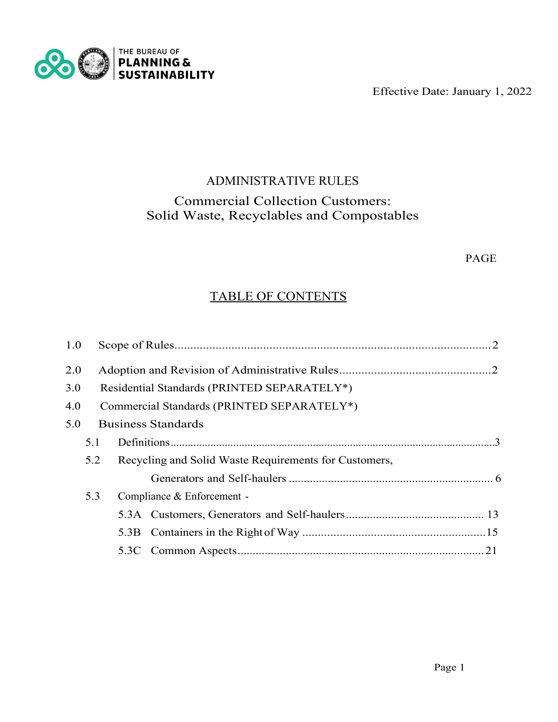Effective Date: January 1, 2022



# ADMINISTRATIVE RULES Commercial Collection Customers: Solid Waste, Recyclables and Compostables

# PAGE

# TABLE OF CONTENTS

| 1.0 |                                             |                                            |                                                       |  |  |  |  |
|-----|---------------------------------------------|--------------------------------------------|-------------------------------------------------------|--|--|--|--|
| 2.0 |                                             |                                            |                                                       |  |  |  |  |
| 3.0 | Residential Standards (PRINTED SEPARATELY*) |                                            |                                                       |  |  |  |  |
| 4.0 |                                             | Commercial Standards (PRINTED SEPARATELY*) |                                                       |  |  |  |  |
| 5.0 | <b>Business Standards</b>                   |                                            |                                                       |  |  |  |  |
|     | 5.1                                         |                                            |                                                       |  |  |  |  |
|     | 5.2                                         |                                            | Recycling and Solid Waste Requirements for Customers, |  |  |  |  |
|     |                                             |                                            |                                                       |  |  |  |  |
|     | 5.3                                         |                                            | Compliance & Enforcement -                            |  |  |  |  |
|     |                                             |                                            |                                                       |  |  |  |  |
|     |                                             |                                            |                                                       |  |  |  |  |
|     |                                             |                                            |                                                       |  |  |  |  |
|     |                                             |                                            |                                                       |  |  |  |  |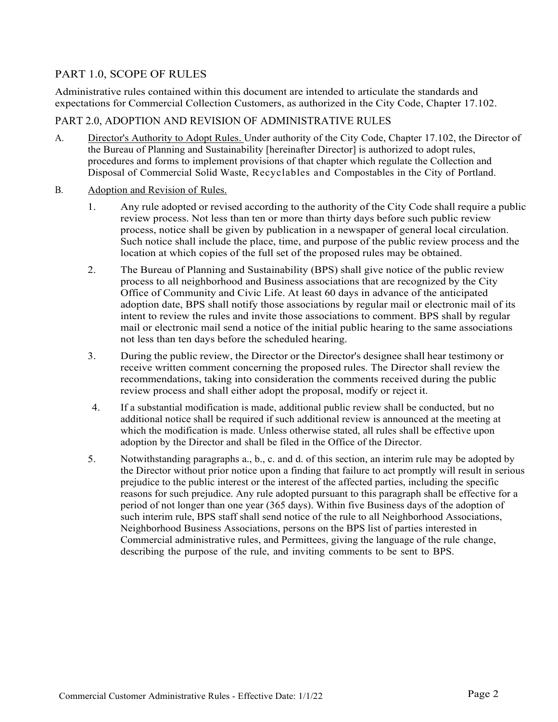# PART 1.0, SCOPE OF RULES

Administrative rules contained within this document are intended to articulate the standards and expectations for Commercial Collection Customers, as authorized in the City Code, Chapter 17.102.

# PART 2.0, ADOPTION AND REVISION OF ADMINISTRATIVE RULES

- A. Director's Authority to Adopt Rules. Under authority of the City Code, Chapter 17.102, the Director of the Bureau of Planning and Sustainability [hereinafter Director] is authorized to adopt rules, procedures and forms to implement provisions of that chapter which regulate the Collection and Disposal of Commercial Solid Waste, Recyclables and Compostables in the City of Portland.
- B. Adoption and Revision of Rules.
	- 1. Any rule adopted or revised according to the authority of the City Code shall require a public review process. Not less than ten or more than thirty days before such public review process, notice shall be given by publication in a newspaper of general local circulation. Such notice shall include the place, time, and purpose of the public review process and the location at which copies of the full set of the proposed rules may be obtained.
	- 2. The Bureau of Planning and Sustainability (BPS) shall give notice of the public review process to all neighborhood and Business associations that are recognized by the City Office of Community and Civic Life. At least 60 days in advance of the anticipated adoption date, BPS shall notify those associations by regular mail or electronic mail of its intent to review the rules and invite those associations to comment. BPS shall by regular mail or electronic mail send a notice of the initial public hearing to the same associations not less than ten days before the scheduled hearing.
	- 3. During the public review, the Director or the Director's designee shall hear testimony or receive written comment concerning the proposed rules. The Director shall review the recommendations, taking into consideration the comments received during the public review process and shall either adopt the proposal, modify or reject it.
	- 4. If a substantial modification is made, additional public review shall be conducted, but no additional notice shall be required if such additional review is announced at the meeting at which the modification is made. Unless otherwise stated, all rules shall be effective upon adoption by the Director and shall be filed in the Office of the Director.
	- 5. Notwithstanding paragraphs a., b., c. and d. of this section, an interim rule may be adopted by the Director without prior notice upon a finding that failure to act promptly will result in serious prejudice to the public interest or the interest of the affected parties, including the specific reasons for such prejudice. Any rule adopted pursuant to this paragraph shall be effective for a period of not longer than one year (365 days). Within five Business days of the adoption of such interim rule, BPS staff shall send notice of the rule to all Neighborhood Associations, Neighborhood Business Associations, persons on the BPS list of parties interested in Commercial administrative rules, and Permittees, giving the language of the rule change, describing the purpose of the rule, and inviting comments to be sent to BPS.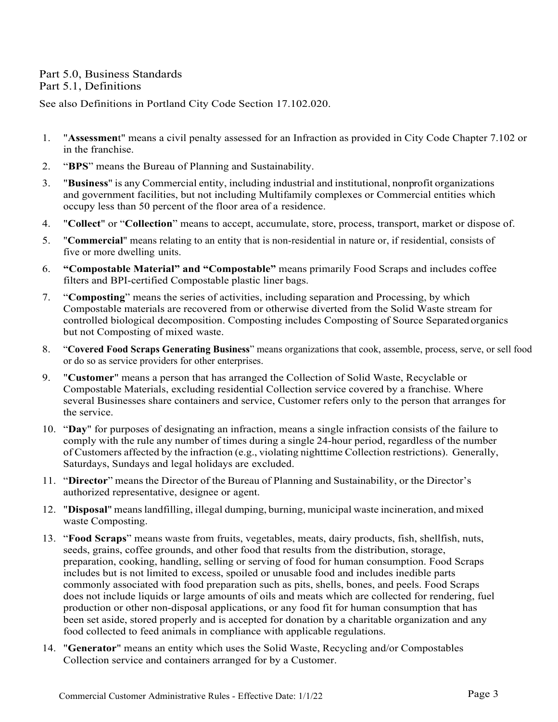# Part 5.0, Business Standards

#### Part 5.1, Definitions

See also Definitions in Portland City Code Section 17.102.020.

- 1. "**Assessmen**t" means a civil penalty assessed for an Infraction as provided in City Code Chapter 7.102 or in the franchise.
- 2. "**BPS**" means the Bureau of Planning and Sustainability.
- 3. "**Business**" is any Commercial entity, including industrial and institutional, nonprofit organizations and government facilities, but not including Multifamily complexes or Commercial entities which occupy less than 50 percent of the floor area of a residence.
- 4. "**Collect**" or "**Collection**" means to accept, accumulate, store, process, transport, market or dispose of.
- 5. "**Commercial**" means relating to an entity that is non-residential in nature or, if residential, consists of five or more dwelling units.
- 6. **"Compostable Material" and "Compostable"** means primarily Food Scraps and includes coffee filters and BPI-certified Compostable plastic liner bags.
- 7. "**Composting**" means the series of activities, including separation and Processing, by which Compostable materials are recovered from or otherwise diverted from the Solid Waste stream for controlled biological decomposition. Composting includes Composting of Source Separatedorganics but not Composting of mixed waste.
- 8. "**Covered Food Scraps Generating Business**" means organizations that cook, assemble, process, serve, or sell food or do so as service providers for other enterprises.
- 9. "**Customer**" means a person that has arranged the Collection of Solid Waste, Recyclable or Compostable Materials, excluding residential Collection service covered by a franchise. Where several Businesses share containers and service, Customer refers only to the person that arranges for the service.
- 10. "**Day**" for purposes of designating an infraction, means a single infraction consists of the failure to comply with the rule any number of times during a single 24-hour period, regardless of the number of Customers affected by the infraction (e.g., violating nighttime Collection restrictions). Generally, Saturdays, Sundays and legal holidays are excluded.
- 11. "**Director**" means the Director of the Bureau of Planning and Sustainability, or the Director's authorized representative, designee or agent.
- 12. "**Disposal**" meanslandfilling, illegal dumping, burning, municipal waste incineration, and mixed waste Composting.
- 13. "**Food Scraps**" means waste from fruits, vegetables, meats, dairy products, fish, shellfish, nuts, seeds, grains, coffee grounds, and other food that results from the distribution, storage, preparation, cooking, handling, selling or serving of food for human consumption. Food Scraps includes but is not limited to excess, spoiled or unusable food and includes inedible parts commonly associated with food preparation such as pits, shells, bones, and peels. Food Scraps does not include liquids or large amounts of oils and meats which are collected for rendering, fuel production or other non-disposal applications, or any food fit for human consumption that has been set aside, stored properly and is accepted for donation by a charitable organization and any food collected to feed animals in compliance with applicable regulations.
- 14. "**Generator**" means an entity which uses the Solid Waste, Recycling and/or Compostables Collection service and containers arranged for by a Customer.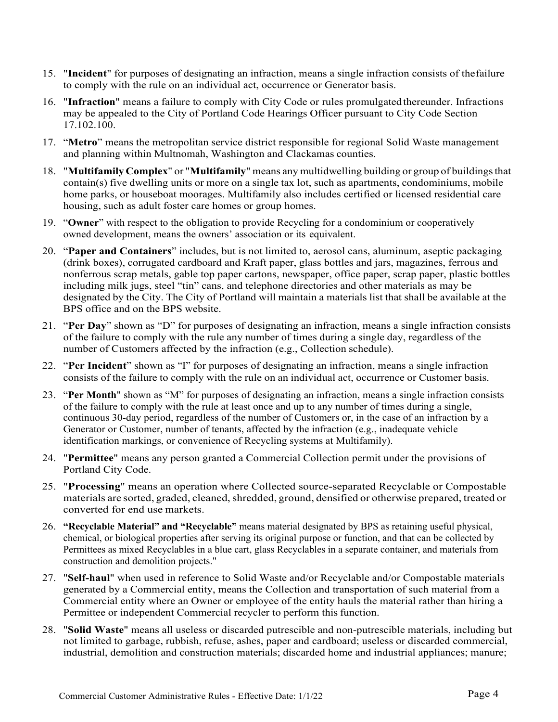- 15. "**Incident**" for purposes of designating an infraction, means a single infraction consists of thefailure to comply with the rule on an individual act, occurrence or Generator basis.
- 16. "**Infraction**" means a failure to comply with City Code or rules promulgated thereunder. Infractions may be appealed to the City of Portland Code Hearings Officer pursuant to City Code Section 17.102.100.
- 17. "**Metro**" means the metropolitan service district responsible for regional Solid Waste management and planning within Multnomah, Washington and Clackamas counties.
- 18. "**Multifamily Complex**" or "**Multifamily**" means any multidwelling building or group of buildingsthat contain(s) five dwelling units or more on a single tax lot, such as apartments, condominiums, mobile home parks, or houseboat moorages. Multifamily also includes certified or licensed residential care housing, such as adult foster care homes or group homes.
- 19. "**Owner**" with respect to the obligation to provide Recycling for a condominium or cooperatively owned development, means the owners' association or its equivalent.
- 20. "**Paper and Containers**" includes, but is not limited to, aerosol cans, aluminum, aseptic packaging (drink boxes), corrugated cardboard and Kraft paper, glass bottles and jars, magazines, ferrous and nonferrous scrap metals, gable top paper cartons, newspaper, office paper, scrap paper, plastic bottles including milk jugs, steel "tin" cans, and telephone directories and other materials as may be designated by the City. The City of Portland will maintain a materials list that shall be available at the BPS office and on the BPS website.
- 21. "**Per Day**" shown as "D" for purposes of designating an infraction, means a single infraction consists of the failure to comply with the rule any number of times during a single day, regardless of the number of Customers affected by the infraction (e.g., Collection schedule).
- 22. "**Per Incident**" shown as "I" for purposes of designating an infraction, means a single infraction consists of the failure to comply with the rule on an individual act, occurrence or Customer basis.
- 23. "**Per Month**" shown as "M" for purposes of designating an infraction, means a single infraction consists of the failure to comply with the rule at least once and up to any number of times during a single, continuous 30-day period, regardless of the number of Customers or, in the case of an infraction by a Generator or Customer, number of tenants, affected by the infraction (e.g., inadequate vehicle identification markings, or convenience of Recycling systems at Multifamily).
- 24. "**Permittee**" means any person granted a Commercial Collection permit under the provisions of Portland City Code.
- 25. "**Processing**" means an operation where Collected source-separated Recyclable or Compostable materials are sorted, graded, cleaned, shredded, ground, densified or otherwise prepared, treated or converted for end use markets.
- 26. **"Recyclable Material" and "Recyclable"** means material designated by BPS as retaining useful physical, chemical, or biological properties after serving its original purpose or function, and that can be collected by Permittees as mixed Recyclables in a blue cart, glass Recyclables in a separate container, and materials from construction and demolition projects."
- 27. "**Self-haul**" when used in reference to Solid Waste and/or Recyclable and/or Compostable materials generated by a Commercial entity, means the Collection and transportation of such material from a Commercial entity where an Owner or employee of the entity hauls the material rather than hiring a Permittee or independent Commercial recycler to perform this function.
- 28. "**Solid Waste**" means all useless or discarded putrescible and non-putrescible materials, including but not limited to garbage, rubbish, refuse, ashes, paper and cardboard; useless or discarded commercial, industrial, demolition and construction materials; discarded home and industrial appliances; manure;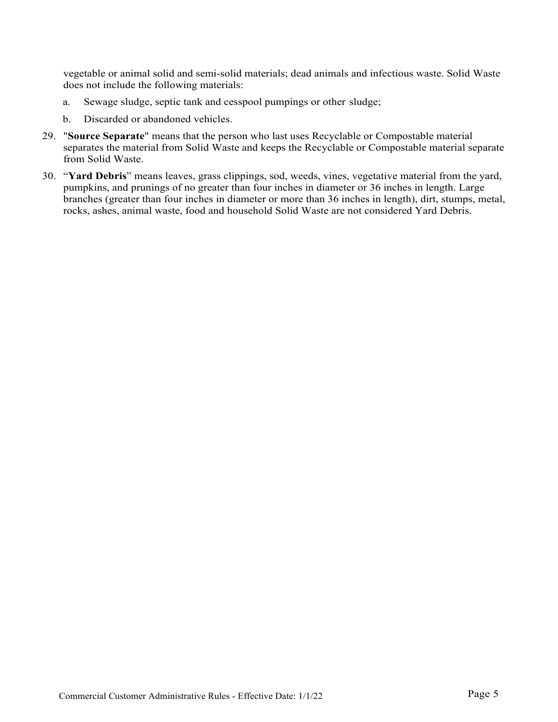vegetable or animal solid and semi-solid materials; dead animals and infectious waste. Solid Waste does not include the following materials:

- a. Sewage sludge, septic tank and cesspool pumpings or other sludge;
- b. Discarded or abandoned vehicles.
- 29. "**Source Separate**" means that the person who last uses Recyclable or Compostable material separates the material from Solid Waste and keeps the Recyclable or Compostable material separate from Solid Waste.
- 30. "**Yard Debris**" means leaves, grass clippings, sod, weeds, vines, vegetative material from the yard, pumpkins, and prunings of no greater than four inches in diameter or 36 inches in length. Large branches (greater than four inches in diameter or more than 36 inches in length), dirt, stumps, metal, rocks, ashes, animal waste, food and household Solid Waste are not considered Yard Debris.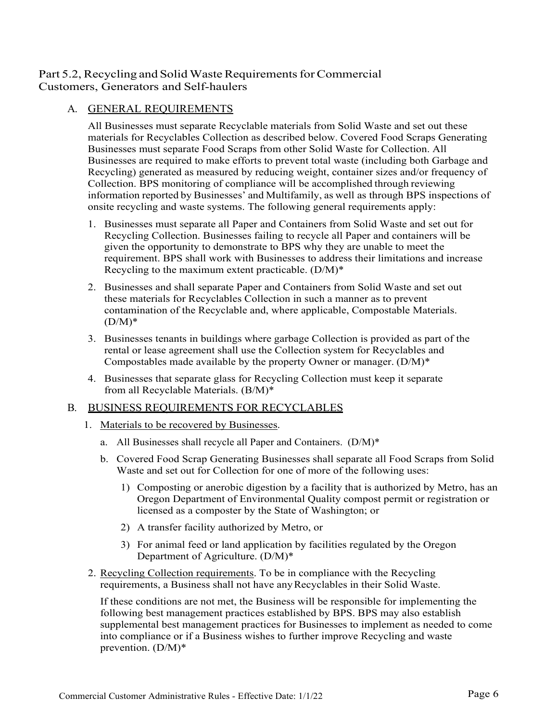# Part 5.2, Recycling and Solid Waste Requirements for Commercial Customers, Generators and Self-haulers

# A. GENERAL REQUIREMENTS

All Businesses must separate Recyclable materials from Solid Waste and set out these materials for Recyclables Collection as described below. Covered Food Scraps Generating Businesses must separate Food Scraps from other Solid Waste for Collection. All Businesses are required to make efforts to prevent total waste (including both Garbage and Recycling) generated as measured by reducing weight, container sizes and/or frequency of Collection. BPS monitoring of compliance will be accomplished through reviewing information reported by Businesses' and Multifamily, as well as through BPS inspections of onsite recycling and waste systems. The following general requirements apply:

- 1. Businesses must separate all Paper and Containers from Solid Waste and set out for Recycling Collection. Businesses failing to recycle all Paper and containers will be given the opportunity to demonstrate to BPS why they are unable to meet the requirement. BPS shall work with Businesses to address their limitations and increase Recycling to the maximum extent practicable. (D/M)\*
- 2. Businesses and shall separate Paper and Containers from Solid Waste and set out these materials for Recyclables Collection in such a manner as to prevent contamination of the Recyclable and, where applicable, Compostable Materials.  $(D/M)^*$
- 3. Businesses tenants in buildings where garbage Collection is provided as part of the rental or lease agreement shall use the Collection system for Recyclables and Compostables made available by the property Owner or manager.  $(D/M)^*$
- 4. Businesses that separate glass for Recycling Collection must keep it separate from all Recyclable Materials. (B/M)\*

#### B. BUSINESS REQUIREMENTS FOR RECYCLABLES

- 1. Materials to be recovered by Businesses.
	- a. All Businesses shall recycle all Paper and Containers. (D/M)\*
	- b. Covered Food Scrap Generating Businesses shall separate all Food Scraps from Solid Waste and set out for Collection for one of more of the following uses:
		- 1) Composting or anerobic digestion by a facility that is authorized by Metro, has an Oregon Department of Environmental Quality compost permit or registration or licensed as a composter by the State of Washington; or
		- 2) A transfer facility authorized by Metro, or
		- 3) For animal feed or land application by facilities regulated by the Oregon Department of Agriculture. (D/M)\*
- 2. Recycling Collection requirements. To be in compliance with the Recycling requirements, a Business shall not have anyRecyclables in their Solid Waste.

If these conditions are not met, the Business will be responsible for implementing the following best management practices established by BPS. BPS may also establish supplemental best management practices for Businesses to implement as needed to come into compliance or if a Business wishes to further improve Recycling and waste prevention. (D/M)\*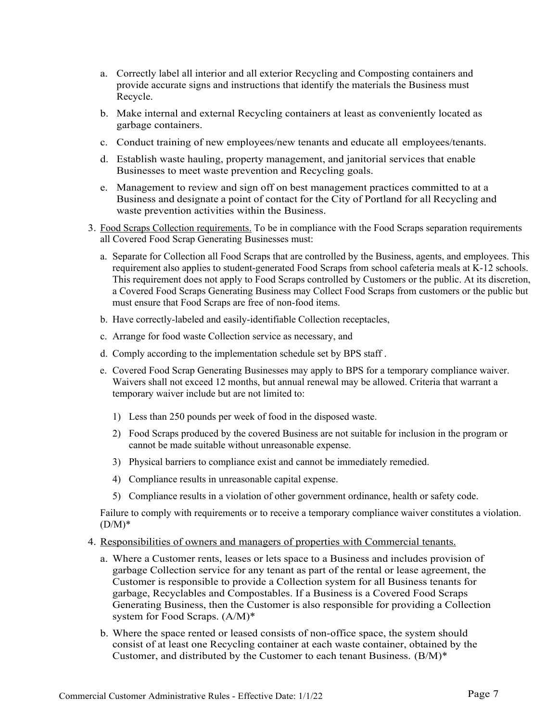- a. Correctly label all interior and all exterior Recycling and Composting containers and provide accurate signs and instructions that identify the materials the Business must Recycle.
- b. Make internal and external Recycling containers at least as conveniently located as garbage containers.
- c. Conduct training of new employees/new tenants and educate all employees/tenants.
- d. Establish waste hauling, property management, and janitorial services that enable Businesses to meet waste prevention and Recycling goals.
- e. Management to review and sign off on best management practices committed to at a Business and designate a point of contact for the City of Portland for all Recycling and waste prevention activities within the Business.
- 3. Food Scraps Collection requirements. To be in compliance with the Food Scraps separation requirements all Covered Food Scrap Generating Businesses must:
	- a. Separate for Collection all Food Scraps that are controlled by the Business, agents, and employees. This requirement also applies to student-generated Food Scraps from school cafeteria meals at K-12 schools. This requirement does not apply to Food Scraps controlled by Customers or the public. At its discretion, a Covered Food Scraps Generating Business may Collect Food Scraps from customers or the public but must ensure that Food Scraps are free of non-food items.
	- b. Have correctly-labeled and easily-identifiable Collection receptacles,
	- c. Arrange for food waste Collection service as necessary, and
	- d. Comply according to the implementation schedule set by BPS staff .
	- e. Covered Food Scrap Generating Businesses may apply to BPS for a temporary compliance waiver. Waivers shall not exceed 12 months, but annual renewal may be allowed. Criteria that warrant a temporary waiver include but are not limited to:
		- 1) Less than 250 pounds per week of food in the disposed waste.
		- 2) Food Scraps produced by the covered Business are not suitable for inclusion in the program or cannot be made suitable without unreasonable expense.
		- 3) Physical barriers to compliance exist and cannot be immediately remedied.
		- 4) Compliance results in unreasonable capital expense.
		- 5) Compliance results in a violation of other government ordinance, health or safety code.

Failure to comply with requirements or to receive a temporary compliance waiver constitutes a violation.  $(D/M)^*$ 

- 4. Responsibilities of owners and managers of properties with Commercial tenants.
	- a. Where a Customer rents, leases or lets space to a Business and includes provision of garbage Collection service for any tenant as part of the rental or lease agreement, the Customer is responsible to provide a Collection system for all Business tenants for garbage, Recyclables and Compostables. If a Business is a Covered Food Scraps Generating Business, then the Customer is also responsible for providing a Collection system for Food Scraps. (A/M)\*
	- b. Where the space rented or leased consists of non-office space, the system should consist of at least one Recycling container at each waste container, obtained by the Customer, and distributed by the Customer to each tenant Business. (B/M)\*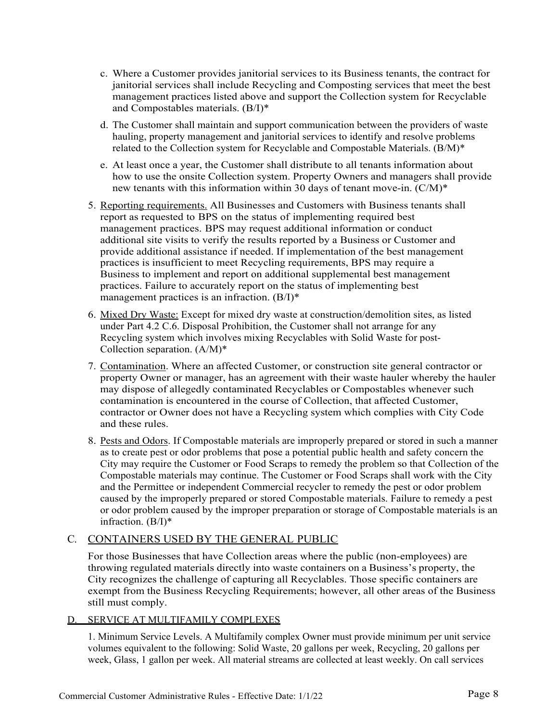- c. Where a Customer provides janitorial services to its Business tenants, the contract for janitorial services shall include Recycling and Composting services that meet the best management practices listed above and support the Collection system for Recyclable and Compostables materials. (B/I)\*
- d. The Customer shall maintain and support communication between the providers of waste hauling, property management and janitorial services to identify and resolve problems related to the Collection system for Recyclable and Compostable Materials. (B/M)\*
- e. At least once a year, the Customer shall distribute to all tenants information about how to use the onsite Collection system. Property Owners and managers shall provide new tenants with this information within 30 days of tenant move-in. (C/M)\*
- 5. Reporting requirements. All Businesses and Customers with Business tenants shall report as requested to BPS on the status of implementing required best management practices. BPS may request additional information or conduct additional site visits to verify the results reported by a Business or Customer and provide additional assistance if needed. If implementation of the best management practices is insufficient to meet Recycling requirements, BPS may require a Business to implement and report on additional supplemental best management practices. Failure to accurately report on the status of implementing best management practices is an infraction. (B/I)\*
- 6. Mixed Dry Waste: Except for mixed dry waste at construction/demolition sites, as listed under Part 4.2 C.6. Disposal Prohibition, the Customer shall not arrange for any Recycling system which involves mixing Recyclables with Solid Waste for post-Collection separation. (A/M)\*
- 7. Contamination. Where an affected Customer, or construction site general contractor or property Owner or manager, has an agreement with their waste hauler whereby the hauler may dispose of allegedly contaminated Recyclables or Compostables whenever such contamination is encountered in the course of Collection, that affected Customer, contractor or Owner does not have a Recycling system which complies with City Code and these rules.
- 8. Pests and Odors. If Compostable materials are improperly prepared or stored in such a manner as to create pest or odor problems that pose a potential public health and safety concern the City may require the Customer or Food Scraps to remedy the problem so that Collection of the Compostable materials may continue. The Customer or Food Scraps shall work with the City and the Permittee or independent Commercial recycler to remedy the pest or odor problem caused by the improperly prepared or stored Compostable materials. Failure to remedy a pest or odor problem caused by the improper preparation or storage of Compostable materials is an infraction. (B/I)\*

#### C. CONTAINERS USED BY THE GENERAL PUBLIC

For those Businesses that have Collection areas where the public (non-employees) are throwing regulated materials directly into waste containers on a Business's property, the City recognizes the challenge of capturing all Recyclables. Those specific containers are exempt from the Business Recycling Requirements; however, all other areas of the Business still must comply.

#### D. SERVICE AT MULTIFAMILY COMPLEXES

1. Minimum Service Levels. A Multifamily complex Owner must provide minimum per unit service volumes equivalent to the following: Solid Waste, 20 gallons per week, Recycling, 20 gallons per week, Glass, 1 gallon per week. All material streams are collected at least weekly. On call services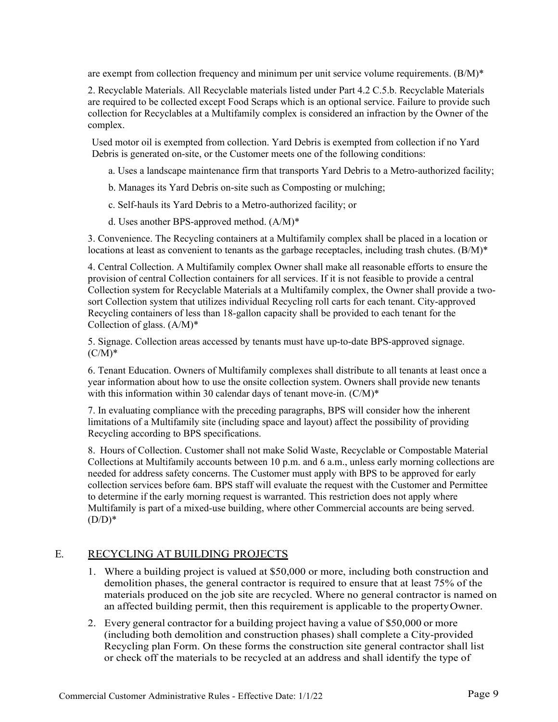are exempt from collection frequency and minimum per unit service volume requirements.  $(B/M)^*$ 

2. Recyclable Materials. All Recyclable materials listed under Part 4.2 C.5.b. Recyclable Materials are required to be collected except Food Scraps which is an optional service. Failure to provide such collection for Recyclables at a Multifamily complex is considered an infraction by the Owner of the complex.

Used motor oil is exempted from collection. Yard Debris is exempted from collection if no Yard Debris is generated on-site, or the Customer meets one of the following conditions:

- a. Uses a landscape maintenance firm that transports Yard Debris to a Metro-authorized facility;
- b. Manages its Yard Debris on-site such as Composting or mulching;
- c. Self-hauls its Yard Debris to a Metro-authorized facility; or
- d. Uses another BPS-approved method. (A/M)\*

3. Convenience. The Recycling containers at a Multifamily complex shall be placed in a location or locations at least as convenient to tenants as the garbage receptacles, including trash chutes. (B/M)<sup>\*</sup>

4. Central Collection. A Multifamily complex Owner shall make all reasonable efforts to ensure the provision of central Collection containers for all services. If it is not feasible to provide a central Collection system for Recyclable Materials at a Multifamily complex, the Owner shall provide a twosort Collection system that utilizes individual Recycling roll carts for each tenant. City-approved Recycling containers of less than 18-gallon capacity shall be provided to each tenant for the Collection of glass.  $(A/M)^*$ 

5. Signage. Collection areas accessed by tenants must have up-to-date BPS-approved signage.  $(C/M)^*$ 

6. Tenant Education. Owners of Multifamily complexes shall distribute to all tenants at least once a year information about how to use the onsite collection system. Owners shall provide new tenants with this information within 30 calendar days of tenant move-in. (C/M)\*

7. In evaluating compliance with the preceding paragraphs, BPS will consider how the inherent limitations of a Multifamily site (including space and layout) affect the possibility of providing Recycling according to BPS specifications.

8. Hours of Collection. Customer shall not make Solid Waste, Recyclable or Compostable Material Collections at Multifamily accounts between 10 p.m. and 6 a.m., unless early morning collections are needed for address safety concerns. The Customer must apply with BPS to be approved for early collection services before 6am. BPS staff will evaluate the request with the Customer and Permittee to determine if the early morning request is warranted. This restriction does not apply where Multifamily is part of a mixed-use building, where other Commercial accounts are being served.  $(D/D)*$ 

#### E. RECYCLING AT BUILDING PROJECTS

- 1. Where a building project is valued at \$50,000 or more, including both construction and demolition phases, the general contractor is required to ensure that at least 75% of the materials produced on the job site are recycled. Where no general contractor is named on an affected building permit, then this requirement is applicable to the propertyOwner.
- 2. Every general contractor for a building project having a value of \$50,000 or more (including both demolition and construction phases) shall complete a City-provided Recycling plan Form. On these forms the construction site general contractor shall list or check off the materials to be recycled at an address and shall identify the type of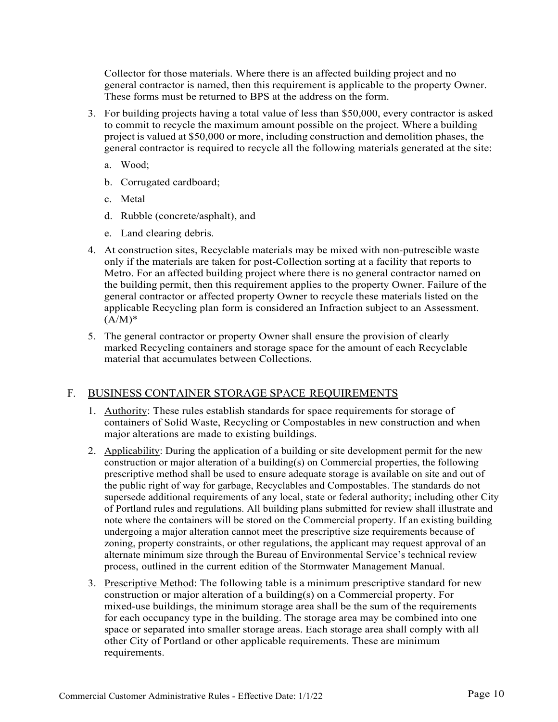Collector for those materials. Where there is an affected building project and no general contractor is named, then this requirement is applicable to the property Owner. These forms must be returned to BPS at the address on the form.

- 3. For building projects having a total value of less than \$50,000, every contractor is asked to commit to recycle the maximum amount possible on the project. Where a building project is valued at \$50,000 or more, including construction and demolition phases, the general contractor is required to recycle all the following materials generated at the site:
	- a. Wood;
	- b. Corrugated cardboard;
	- c. Metal
	- d. Rubble (concrete/asphalt), and
	- e. Land clearing debris.
- 4. At construction sites, Recyclable materials may be mixed with non-putrescible waste only if the materials are taken for post-Collection sorting at a facility that reports to Metro. For an affected building project where there is no general contractor named on the building permit, then this requirement applies to the property Owner. Failure of the general contractor or affected property Owner to recycle these materials listed on the applicable Recycling plan form is considered an Infraction subject to an Assessment.  $(A/M)^*$
- 5. The general contractor or property Owner shall ensure the provision of clearly marked Recycling containers and storage space for the amount of each Recyclable material that accumulates between Collections.

#### F. BUSINESS CONTAINER STORAGE SPACE REQUIREMENTS

- 1. Authority: These rules establish standards for space requirements for storage of containers of Solid Waste, Recycling or Compostables in new construction and when major alterations are made to existing buildings.
- 2. Applicability: During the application of a building or site development permit for the new construction or major alteration of a building(s) on Commercial properties, the following prescriptive method shall be used to ensure adequate storage is available on site and out of the public right of way for garbage, Recyclables and Compostables. The standards do not supersede additional requirements of any local, state or federal authority; including other City of Portland rules and regulations. All building plans submitted for review shall illustrate and note where the containers will be stored on the Commercial property. If an existing building undergoing a major alteration cannot meet the prescriptive size requirements because of zoning, property constraints, or other regulations, the applicant may request approval of an alternate minimum size through the Bureau of Environmental Service's technical review process, outlined in the current edition of the Stormwater Management Manual.
- 3. Prescriptive Method: The following table is a minimum prescriptive standard for new construction or major alteration of a building(s) on a Commercial property. For mixed-use buildings, the minimum storage area shall be the sum of the requirements for each occupancy type in the building. The storage area may be combined into one space or separated into smaller storage areas. Each storage area shall comply with all other City of Portland or other applicable requirements. These are minimum requirements.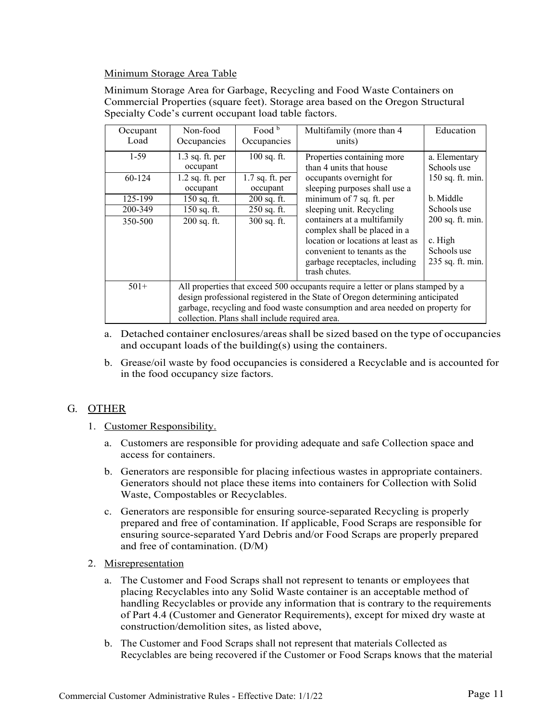#### Minimum Storage Area Table

Minimum Storage Area for Garbage, Recycling and Food Waste Containers on Commercial Properties (square feet). Storage area based on the Oregon Structural Specialty Code's current occupant load table factors.

| Occupant<br>Load | Non-food<br>Occupancies                                                                                                                                                                                                                                                                             | Food b<br>Occupancies         | Multifamily (more than 4<br>units)                                                                                                                                                  | Education                                                      |  |
|------------------|-----------------------------------------------------------------------------------------------------------------------------------------------------------------------------------------------------------------------------------------------------------------------------------------------------|-------------------------------|-------------------------------------------------------------------------------------------------------------------------------------------------------------------------------------|----------------------------------------------------------------|--|
| $1-59$           | $1.3$ sq. ft. per<br>occupant                                                                                                                                                                                                                                                                       | $100$ sq. ft.                 | Properties containing more<br>than 4 units that house                                                                                                                               | a. Elementary<br>Schools use                                   |  |
| 60-124           | $1.2$ sq. ft. per<br>occupant                                                                                                                                                                                                                                                                       | $1.7$ sq. ft. per<br>occupant | occupants overnight for<br>sleeping purposes shall use a                                                                                                                            | 150 sq. ft. min.                                               |  |
| 125-199          | $150$ sq. ft.                                                                                                                                                                                                                                                                                       | $200$ sq. ft.                 | minimum of 7 sq. ft. per                                                                                                                                                            | b. Middle                                                      |  |
| 200-349          | 150 sq. ft.                                                                                                                                                                                                                                                                                         | 250 sq. ft.                   | sleeping unit. Recycling                                                                                                                                                            | Schools use                                                    |  |
| 350-500          | 200 sq. ft.                                                                                                                                                                                                                                                                                         | 300 sq. ft.                   | containers at a multifamily<br>complex shall be placed in a<br>location or locations at least as<br>convenient to tenants as the<br>garbage receptacles, including<br>trash chutes. | 200 sq. ft. min.<br>c. High<br>Schools use<br>235 sq. ft. min. |  |
| $501+$           | All properties that exceed 500 occupants require a letter or plans stamped by a<br>design professional registered in the State of Oregon determining anticipated<br>garbage, recycling and food waste consumption and area needed on property for<br>collection. Plans shall include required area. |                               |                                                                                                                                                                                     |                                                                |  |

- a. Detached container enclosures/areas shall be sized based on the type of occupancies and occupant loads of the building(s) using the containers.
- b. Grease/oil waste by food occupancies is considered a Recyclable and is accounted for in the food occupancy size factors.

# G. OTHER

- 1. Customer Responsibility.
	- a. Customers are responsible for providing adequate and safe Collection space and access for containers.
	- b. Generators are responsible for placing infectious wastes in appropriate containers. Generators should not place these items into containers for Collection with Solid Waste, Compostables or Recyclables.
	- c. Generators are responsible for ensuring source-separated Recycling is properly prepared and free of contamination. If applicable, Food Scraps are responsible for ensuring source-separated Yard Debris and/or Food Scraps are properly prepared and free of contamination. (D/M)
- 2. Misrepresentation
	- a. The Customer and Food Scraps shall not represent to tenants or employees that placing Recyclables into any Solid Waste container is an acceptable method of handling Recyclables or provide any information that is contrary to the requirements of Part 4.4 (Customer and Generator Requirements), except for mixed dry waste at construction/demolition sites, as listed above,
	- b. The Customer and Food Scraps shall not represent that materials Collected as Recyclables are being recovered if the Customer or Food Scraps knows that the material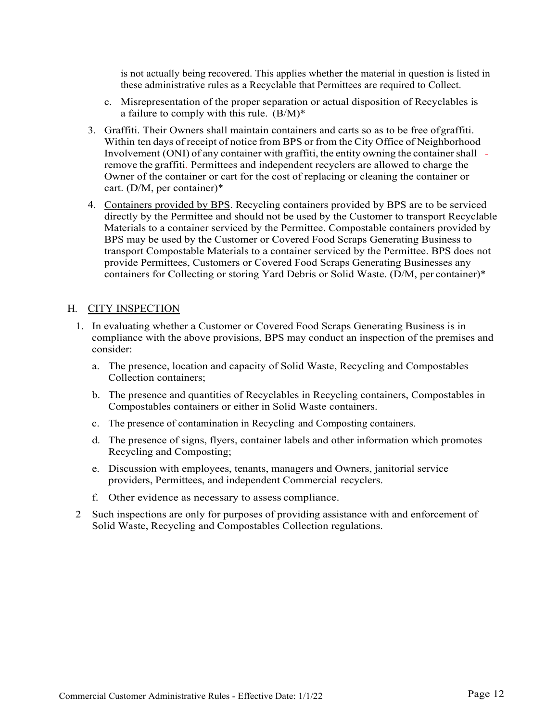is not actually being recovered. This applies whether the material in question is listed in these administrative rules as a Recyclable that Permittees are required to Collect.

- c. Misrepresentation of the proper separation or actual disposition of Recyclables is a failure to comply with this rule.  $(B/M)^*$
- 3. Graffiti. Their Owners shall maintain containers and carts so as to be free ofgraffiti. Within ten days of receipt of notice from BPS or from the City Office of Neighborhood Involvement  $(ONI)$  of any container with graffiti, the entity owning the container shall  $$ remove the graffiti. Permittees and independent recyclers are allowed to charge the Owner of the container or cart for the cost of replacing or cleaning the container or cart. (D/M, per container)\*
- 4. Containers provided by BPS. Recycling containers provided by BPS are to be serviced directly by the Permittee and should not be used by the Customer to transport Recyclable Materials to a container serviced by the Permittee. Compostable containers provided by BPS may be used by the Customer or Covered Food Scraps Generating Business to transport Compostable Materials to a container serviced by the Permittee. BPS does not provide Permittees, Customers or Covered Food Scraps Generating Businesses any containers for Collecting or storing Yard Debris or Solid Waste. (D/M, per container)\*

#### H. CITY INSPECTION

- 1. In evaluating whether a Customer or Covered Food Scraps Generating Business is in compliance with the above provisions, BPS may conduct an inspection of the premises and consider:
	- a. The presence, location and capacity of Solid Waste, Recycling and Compostables Collection containers;
	- b. The presence and quantities of Recyclables in Recycling containers, Compostables in Compostables containers or either in Solid Waste containers.
	- c. The presence of contamination in Recycling and Composting containers.
	- d. The presence of signs, flyers, container labels and other information which promotes Recycling and Composting;
	- e. Discussion with employees, tenants, managers and Owners, janitorial service providers, Permittees, and independent Commercial recyclers.
	- f. Other evidence as necessary to assess compliance.
- 2 Such inspections are only for purposes of providing assistance with and enforcement of Solid Waste, Recycling and Compostables Collection regulations.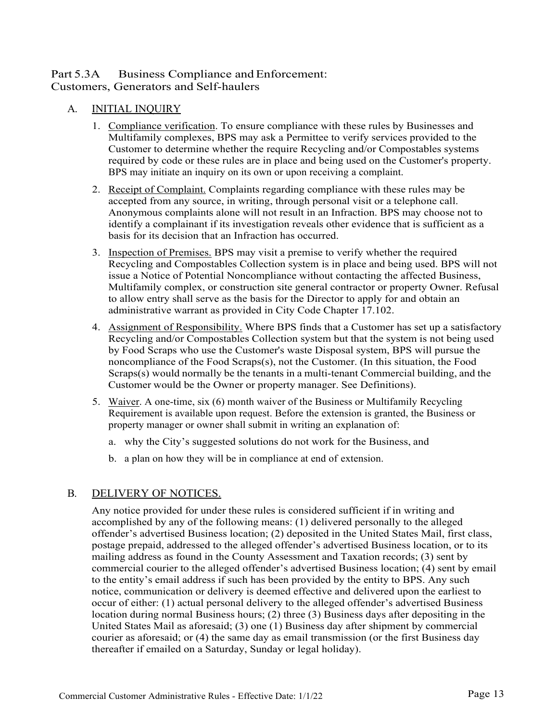# Part 5.3A Business Compliance and Enforcement: Customers, Generators and Self-haulers

# A. INITIAL INQUIRY

- 1. Compliance verification. To ensure compliance with these rules by Businesses and Multifamily complexes, BPS may ask a Permittee to verify services provided to the Customer to determine whether the require Recycling and/or Compostables systems required by code or these rules are in place and being used on the Customer's property. BPS may initiate an inquiry on its own or upon receiving a complaint.
- 2. Receipt of Complaint. Complaints regarding compliance with these rules may be accepted from any source, in writing, through personal visit or a telephone call. Anonymous complaints alone will not result in an Infraction. BPS may choose not to identify a complainant if its investigation reveals other evidence that is sufficient as a basis for its decision that an Infraction has occurred.
- 3. Inspection of Premises. BPS may visit a premise to verify whether the required Recycling and Compostables Collection system is in place and being used. BPS will not issue a Notice of Potential Noncompliance without contacting the affected Business, Multifamily complex, or construction site general contractor or property Owner. Refusal to allow entry shall serve as the basis for the Director to apply for and obtain an administrative warrant as provided in City Code Chapter 17.102.
- 4. Assignment of Responsibility. Where BPS finds that a Customer has set up a satisfactory Recycling and/or Compostables Collection system but that the system is not being used by Food Scraps who use the Customer's waste Disposal system, BPS will pursue the noncompliance of the Food Scraps $(s)$ , not the Customer. (In this situation, the Food Scraps(s) would normally be the tenants in a multi-tenant Commercial building, and the Customer would be the Owner or property manager. See Definitions).
- 5. Waiver. A one-time, six (6) month waiver of the Business or Multifamily Recycling Requirement is available upon request. Before the extension is granted, the Business or property manager or owner shall submit in writing an explanation of:
	- a. why the City's suggested solutions do not work for the Business, and
	- b. a plan on how they will be in compliance at end of extension.

# B. DELIVERY OF NOTICES.

Any notice provided for under these rules is considered sufficient if in writing and accomplished by any of the following means: (1) delivered personally to the alleged offender's advertised Business location; (2) deposited in the United States Mail, first class, postage prepaid, addressed to the alleged offender's advertised Business location, or to its mailing address as found in the County Assessment and Taxation records; (3) sent by commercial courier to the alleged offender's advertised Business location; (4) sent by email to the entity's email address if such has been provided by the entity to BPS. Any such notice, communication or delivery is deemed effective and delivered upon the earliest to occur of either: (1) actual personal delivery to the alleged offender's advertised Business location during normal Business hours; (2) three (3) Business days after depositing in the United States Mail as aforesaid; (3) one (1) Business day after shipment by commercial courier as aforesaid; or (4) the same day as email transmission (or the first Business day thereafter if emailed on a Saturday, Sunday or legal holiday).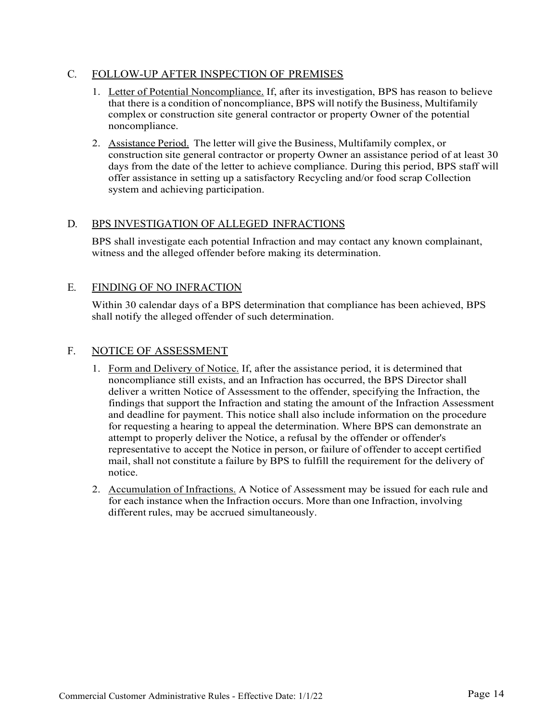#### C. FOLLOW-UP AFTER INSPECTION OF PREMISES

- 1. Letter of Potential Noncompliance. If, after its investigation, BPS has reason to believe that there is a condition of noncompliance, BPS will notify the Business, Multifamily complex or construction site general contractor or property Owner of the potential noncompliance.
- 2. Assistance Period. The letter will give the Business, Multifamily complex, or construction site general contractor or property Owner an assistance period of at least 30 days from the date of the letter to achieve compliance. During this period, BPS staff will offer assistance in setting up a satisfactory Recycling and/or food scrap Collection system and achieving participation.

#### D. BPS INVESTIGATION OF ALLEGED INFRACTIONS

BPS shall investigate each potential Infraction and may contact any known complainant, witness and the alleged offender before making its determination.

#### E. FINDING OF NO INFRACTION

Within 30 calendar days of a BPS determination that compliance has been achieved, BPS shall notify the alleged offender of such determination.

#### F. NOTICE OF ASSESSMENT

- 1. Form and Delivery of Notice. If, after the assistance period, it is determined that noncompliance still exists, and an Infraction has occurred, the BPS Director shall deliver a written Notice of Assessment to the offender, specifying the Infraction, the findings that support the Infraction and stating the amount of the Infraction Assessment and deadline for payment. This notice shall also include information on the procedure for requesting a hearing to appeal the determination. Where BPS can demonstrate an attempt to properly deliver the Notice, a refusal by the offender or offender's representative to accept the Notice in person, or failure of offender to accept certified mail, shall not constitute a failure by BPS to fulfill the requirement for the delivery of notice.
- 2. Accumulation of Infractions. A Notice of Assessment may be issued for each rule and for each instance when the Infraction occurs. More than one Infraction, involving different rules, may be accrued simultaneously.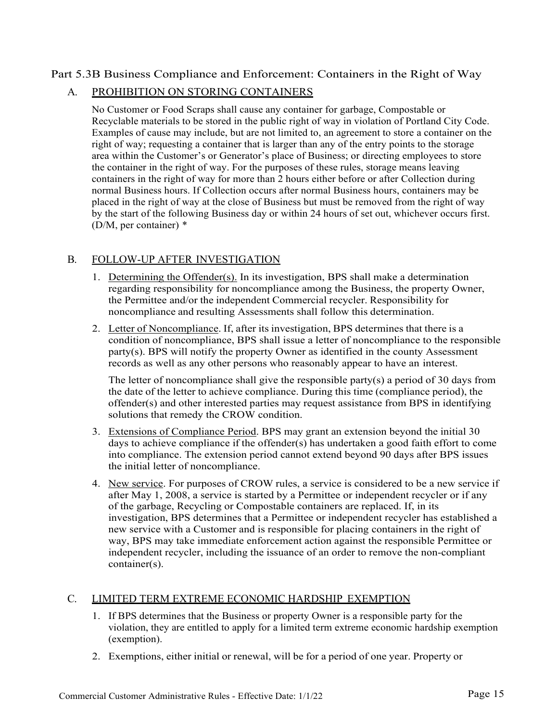# Part 5.3B Business Compliance and Enforcement: Containers in the Right of Way

# A. PROHIBITION ON STORING CONTAINERS

No Customer or Food Scraps shall cause any container for garbage, Compostable or Recyclable materials to be stored in the public right of way in violation of Portland City Code. Examples of cause may include, but are not limited to, an agreement to store a container on the right of way; requesting a container that is larger than any of the entry points to the storage area within the Customer's or Generator's place of Business; or directing employees to store the container in the right of way. For the purposes of these rules, storage means leaving containers in the right of way for more than 2 hours either before or after Collection during normal Business hours. If Collection occurs after normal Business hours, containers may be placed in the right of way at the close of Business but must be removed from the right of way by the start of the following Business day or within 24 hours of set out, whichever occurs first. (D/M, per container) \*

# B. FOLLOW-UP AFTER INVESTIGATION

- 1. Determining the Offender(s). In its investigation, BPS shall make a determination regarding responsibility for noncompliance among the Business, the property Owner, the Permittee and/or the independent Commercial recycler. Responsibility for noncompliance and resulting Assessments shall follow this determination.
- 2. Letter of Noncompliance. If, after its investigation, BPS determines that there is a condition of noncompliance, BPS shall issue a letter of noncompliance to the responsible party(s). BPS will notify the property Owner as identified in the county Assessment records as well as any other persons who reasonably appear to have an interest.

The letter of noncompliance shall give the responsible party(s) a period of 30 days from the date of the letter to achieve compliance. During this time (compliance period), the offender(s) and other interested parties may request assistance from BPS in identifying solutions that remedy the CROW condition.

- 3. Extensions of Compliance Period. BPS may grant an extension beyond the initial 30 days to achieve compliance if the offender(s) has undertaken a good faith effort to come into compliance. The extension period cannot extend beyond 90 days after BPS issues the initial letter of noncompliance.
- 4. New service. For purposes of CROW rules, a service is considered to be a new service if after May 1, 2008, a service is started by a Permittee or independent recycler or if any of the garbage, Recycling or Compostable containers are replaced. If, in its investigation, BPS determines that a Permittee or independent recycler has established a new service with a Customer and is responsible for placing containers in the right of way, BPS may take immediate enforcement action against the responsible Permittee or independent recycler, including the issuance of an order to remove the non-compliant container(s).

#### C. LIMITED TERM EXTREME ECONOMIC HARDSHIP EXEMPTION

- 1. If BPS determines that the Business or property Owner is a responsible party for the violation, they are entitled to apply for a limited term extreme economic hardship exemption (exemption).
- 2. Exemptions, either initial or renewal, will be for a period of one year. Property or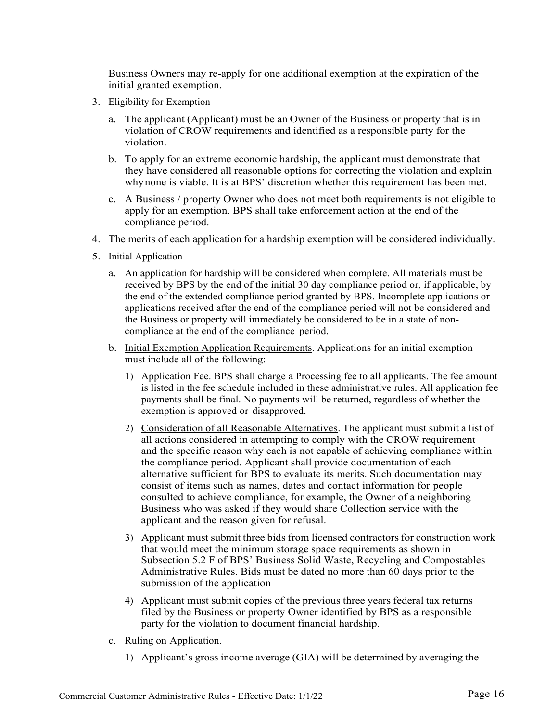Business Owners may re-apply for one additional exemption at the expiration of the initial granted exemption.

- 3. Eligibility for Exemption
	- a. The applicant (Applicant) must be an Owner of the Business or property that is in violation of CROW requirements and identified as a responsible party for the violation.
	- b. To apply for an extreme economic hardship, the applicant must demonstrate that they have considered all reasonable options for correcting the violation and explain whynone is viable. It is at BPS' discretion whether this requirement has been met.
	- c. A Business / property Owner who does not meet both requirements is not eligible to apply for an exemption. BPS shall take enforcement action at the end of the compliance period.
- 4. The merits of each application for a hardship exemption will be considered individually.
- 5. Initial Application
	- a. An application for hardship will be considered when complete. All materials must be received by BPS by the end of the initial 30 day compliance period or, if applicable, by the end of the extended compliance period granted by BPS. Incomplete applications or applications received after the end of the compliance period will not be considered and the Business or property will immediately be considered to be in a state of noncompliance at the end of the compliance period.
	- b. Initial Exemption Application Requirements. Applications for an initial exemption must include all of the following:
		- 1) Application Fee. BPS shall charge a Processing fee to all applicants. The fee amount is listed in the fee schedule included in these administrative rules. All application fee payments shall be final. No payments will be returned, regardless of whether the exemption is approved or disapproved.
		- 2) Consideration of all Reasonable Alternatives. The applicant must submit a list of all actions considered in attempting to comply with the CROW requirement and the specific reason why each is not capable of achieving compliance within the compliance period. Applicant shall provide documentation of each alternative sufficient for BPS to evaluate its merits. Such documentation may consist of items such as names, dates and contact information for people consulted to achieve compliance, for example, the Owner of a neighboring Business who was asked if they would share Collection service with the applicant and the reason given for refusal.
		- 3) Applicant must submit three bids from licensed contractors for construction work that would meet the minimum storage space requirements as shown in Subsection 5.2 F of BPS' Business Solid Waste, Recycling and Compostables Administrative Rules. Bids must be dated no more than 60 days prior to the submission of the application
		- 4) Applicant must submit copies of the previous three years federal tax returns filed by the Business or property Owner identified by BPS as a responsible party for the violation to document financial hardship.
	- c. Ruling on Application.
		- 1) Applicant's gross income average (GIA) will be determined by averaging the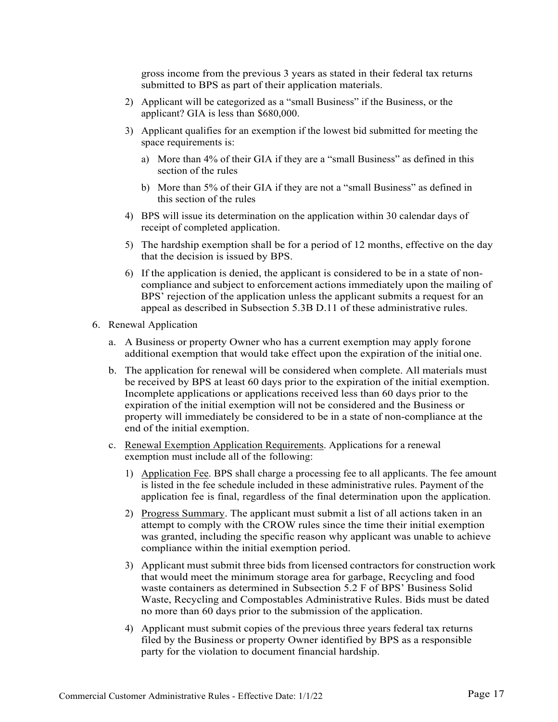gross income from the previous 3 years as stated in their federal tax returns submitted to BPS as part of their application materials.

- 2) Applicant will be categorized as a "small Business" if the Business, or the applicant? GIA is less than \$680,000.
- 3) Applicant qualifies for an exemption if the lowest bid submitted for meeting the space requirements is:
	- a) More than 4% of their GIA if they are a "small Business" as defined in this section of the rules
	- b) More than 5% of their GIA if they are not a "small Business" as defined in this section of the rules
- 4) BPS will issue its determination on the application within 30 calendar days of receipt of completed application.
- 5) The hardship exemption shall be for a period of 12 months, effective on the day that the decision is issued by BPS.
- 6) If the application is denied, the applicant is considered to be in a state of noncompliance and subject to enforcement actions immediately upon the mailing of BPS' rejection of the application unless the applicant submits a request for an appeal as described in Subsection 5.3B D.11 of these administrative rules.
- 6. Renewal Application
	- a. A Business or property Owner who has a current exemption may apply forone additional exemption that would take effect upon the expiration of the initial one.
	- b. The application for renewal will be considered when complete. All materials must be received by BPS at least 60 days prior to the expiration of the initial exemption. Incomplete applications or applications received less than 60 days prior to the expiration of the initial exemption will not be considered and the Business or property will immediately be considered to be in a state of non-compliance at the end of the initial exemption.
	- c. Renewal Exemption Application Requirements. Applications for a renewal exemption must include all of the following:
		- 1) Application Fee. BPS shall charge a processing fee to all applicants. The fee amount is listed in the fee schedule included in these administrative rules. Payment of the application fee is final, regardless of the final determination upon the application.
		- 2) Progress Summary. The applicant must submit a list of all actions taken in an attempt to comply with the CROW rules since the time their initial exemption was granted, including the specific reason why applicant was unable to achieve compliance within the initial exemption period.
		- 3) Applicant must submit three bids from licensed contractors for construction work that would meet the minimum storage area for garbage, Recycling and food waste containers as determined in Subsection 5.2 F of BPS' Business Solid Waste, Recycling and Compostables Administrative Rules. Bids must be dated no more than 60 days prior to the submission of the application.
		- 4) Applicant must submit copies of the previous three years federal tax returns filed by the Business or property Owner identified by BPS as a responsible party for the violation to document financial hardship.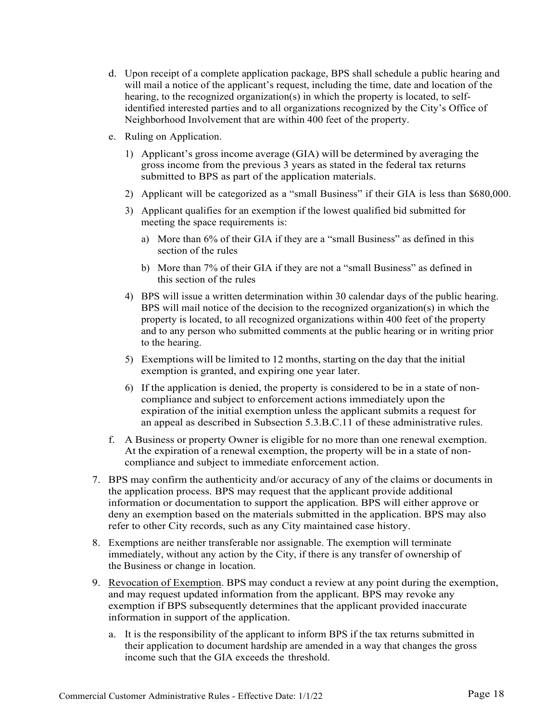- d. Upon receipt of a complete application package, BPS shall schedule a public hearing and will mail a notice of the applicant's request, including the time, date and location of the hearing, to the recognized organization(s) in which the property is located, to selfidentified interested parties and to all organizations recognized by the City's Office of Neighborhood Involvement that are within 400 feet of the property.
- e. Ruling on Application.
	- 1) Applicant's gross income average (GIA) will be determined by averaging the gross income from the previous 3 years as stated in the federal tax returns submitted to BPS as part of the application materials.
	- 2) Applicant will be categorized as a "small Business" if their GIA is less than \$680,000.
	- 3) Applicant qualifies for an exemption if the lowest qualified bid submitted for meeting the space requirements is:
		- a) More than 6% of their GIA if they are a "small Business" as defined in this section of the rules
		- b) More than 7% of their GIA if they are not a "small Business" as defined in this section of the rules
	- 4) BPS will issue a written determination within 30 calendar days of the public hearing. BPS will mail notice of the decision to the recognized organization(s) in which the property is located, to all recognized organizations within 400 feet of the property and to any person who submitted comments at the public hearing or in writing prior to the hearing.
	- 5) Exemptions will be limited to 12 months, starting on the day that the initial exemption is granted, and expiring one year later.
	- 6) If the application is denied, the property is considered to be in a state of noncompliance and subject to enforcement actions immediately upon the expiration of the initial exemption unless the applicant submits a request for an appeal as described in Subsection 5.3.B.C.11 of these administrative rules.
- f. A Business or property Owner is eligible for no more than one renewal exemption. At the expiration of a renewal exemption, the property will be in a state of noncompliance and subject to immediate enforcement action.
- 7. BPS may confirm the authenticity and/or accuracy of any of the claims or documents in the application process. BPS may request that the applicant provide additional information or documentation to support the application. BPS will either approve or deny an exemption based on the materials submitted in the application. BPS may also refer to other City records, such as any City maintained case history.
- 8. Exemptions are neither transferable nor assignable. The exemption will terminate immediately, without any action by the City, if there is any transfer of ownership of the Business or change in location.
- 9. Revocation of Exemption. BPS may conduct a review at any point during the exemption, and may request updated information from the applicant. BPS may revoke any exemption if BPS subsequently determines that the applicant provided inaccurate information in support of the application.
	- a. It is the responsibility of the applicant to inform BPS if the tax returns submitted in their application to document hardship are amended in a way that changes the gross income such that the GIA exceeds the threshold.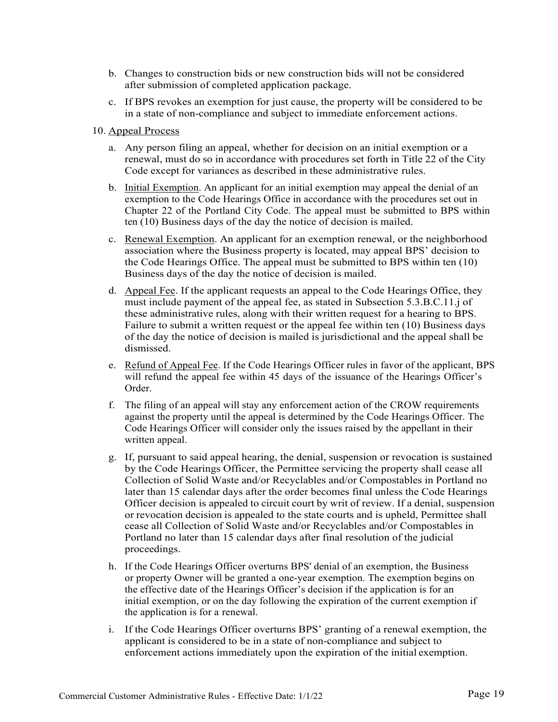- b. Changes to construction bids or new construction bids will not be considered after submission of completed application package.
- c. If BPS revokes an exemption for just cause, the property will be considered to be in a state of non-compliance and subject to immediate enforcement actions.
- 10. Appeal Process
	- a. Any person filing an appeal, whether for decision on an initial exemption or a renewal, must do so in accordance with procedures set forth in Title 22 of the City Code except for variances as described in these administrative rules.
	- b. Initial Exemption. An applicant for an initial exemption may appeal the denial of an exemption to the Code Hearings Office in accordance with the procedures set out in Chapter 22 of the Portland City Code. The appeal must be submitted to BPS within ten (10) Business days of the day the notice of decision is mailed.
	- c. Renewal Exemption. An applicant for an exemption renewal, or the neighborhood association where the Business property is located, may appeal BPS' decision to the Code Hearings Office. The appeal must be submitted to BPS within ten (10) Business days of the day the notice of decision is mailed.
	- d. Appeal Fee. If the applicant requests an appeal to the Code Hearings Office, they must include payment of the appeal fee, as stated in Subsection 5.3.B.C.11.j of these administrative rules, along with their written request for a hearing to BPS. Failure to submit a written request or the appeal fee within ten (10) Business days of the day the notice of decision is mailed is jurisdictional and the appeal shall be dismissed.
	- e. Refund of Appeal Fee. If the Code Hearings Officer rules in favor of the applicant, BPS will refund the appeal fee within 45 days of the issuance of the Hearings Officer's Order.
	- f. The filing of an appeal will stay any enforcement action of the CROW requirements against the property until the appeal is determined by the Code Hearings Officer. The Code Hearings Officer will consider only the issues raised by the appellant in their written appeal.
	- g. If, pursuant to said appeal hearing, the denial, suspension or revocation is sustained by the Code Hearings Officer, the Permittee servicing the property shall cease all Collection of Solid Waste and/or Recyclables and/or Compostables in Portland no later than 15 calendar days after the order becomes final unless the Code Hearings Officer decision is appealed to circuit court by writ of review. If a denial, suspension or revocation decision is appealed to the state courts and is upheld, Permittee shall cease all Collection of Solid Waste and/or Recyclables and/or Compostables in Portland no later than 15 calendar days after final resolution of the judicial proceedings.
	- h. If the Code Hearings Officer overturns BPS' denial of an exemption, the Business or property Owner will be granted a one-year exemption. The exemption begins on the effective date of the Hearings Officer's decision if the application is for an initial exemption, or on the day following the expiration of the current exemption if the application is for a renewal.
	- i. If the Code Hearings Officer overturns BPS' granting of a renewal exemption, the applicant is considered to be in a state of non-compliance and subject to enforcement actions immediately upon the expiration of the initial exemption.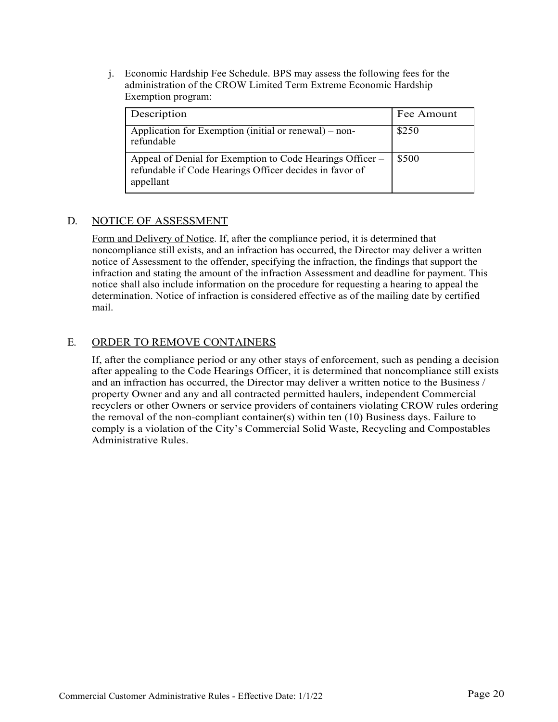j. Economic Hardship Fee Schedule. BPS may assess the following fees for the administration of the CROW Limited Term Extreme Economic Hardship Exemption program:

| Description                                                                                                                       | Fee Amount |
|-----------------------------------------------------------------------------------------------------------------------------------|------------|
| Application for Exemption (initial or renewal) – non-<br>refundable                                                               | \$250      |
| Appeal of Denial for Exemption to Code Hearings Officer –<br>refundable if Code Hearings Officer decides in favor of<br>appellant | \$500      |

# D. NOTICE OF ASSESSMENT

Form and Delivery of Notice. If, after the compliance period, it is determined that noncompliance still exists, and an infraction has occurred, the Director may deliver a written notice of Assessment to the offender, specifying the infraction, the findings that support the infraction and stating the amount of the infraction Assessment and deadline for payment. This notice shall also include information on the procedure for requesting a hearing to appeal the determination. Notice of infraction is considered effective as of the mailing date by certified mail.

# E. ORDER TO REMOVE CONTAINERS

If, after the compliance period or any other stays of enforcement, such as pending a decision after appealing to the Code Hearings Officer, it is determined that noncompliance still exists and an infraction has occurred, the Director may deliver a written notice to the Business / property Owner and any and all contracted permitted haulers, independent Commercial recyclers or other Owners or service providers of containers violating CROW rules ordering the removal of the non-compliant container(s) within ten (10) Business days. Failure to comply is a violation of the City's Commercial Solid Waste, Recycling and Compostables Administrative Rules.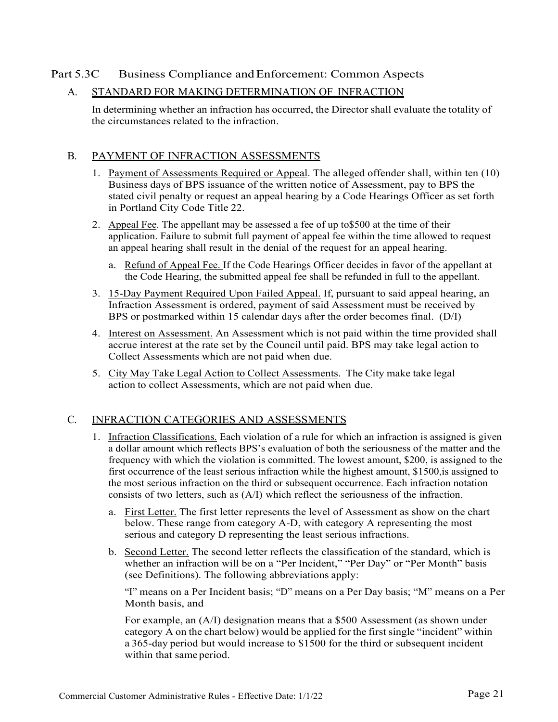# Part 5.3C Business Compliance and Enforcement: Common Aspects

#### A. STANDARD FOR MAKING DETERMINATION OF INFRACTION

In determining whether an infraction has occurred, the Director shall evaluate the totality of the circumstances related to the infraction.

#### B. PAYMENT OF INFRACTION ASSESSMENTS

- 1. Payment of Assessments Required or Appeal. The alleged offender shall, within ten (10) Business days of BPS issuance of the written notice of Assessment, pay to BPS the stated civil penalty or request an appeal hearing by a Code Hearings Officer as set forth in Portland City Code Title 22.
- 2. Appeal Fee. The appellant may be assessed a fee of up to\$500 at the time of their application. Failure to submit full payment of appeal fee within the time allowed to request an appeal hearing shall result in the denial of the request for an appeal hearing.
	- a. Refund of Appeal Fee. If the Code Hearings Officer decides in favor of the appellant at the Code Hearing, the submitted appeal fee shall be refunded in full to the appellant.
- 3. 15-Day Payment Required Upon Failed Appeal. If, pursuant to said appeal hearing, an Infraction Assessment is ordered, payment of said Assessment must be received by BPS or postmarked within 15 calendar days after the order becomes final. (D/I)
- 4. Interest on Assessment. An Assessment which is not paid within the time provided shall accrue interest at the rate set by the Council until paid. BPS may take legal action to Collect Assessments which are not paid when due.
- 5. City May Take Legal Action to Collect Assessments. The City make take legal action to collect Assessments, which are not paid when due.

#### C. INFRACTION CATEGORIES AND ASSESSMENTS

- 1. Infraction Classifications. Each violation of a rule for which an infraction is assigned is given a dollar amount which reflects BPS's evaluation of both the seriousness of the matter and the frequency with which the violation is committed. The lowest amount, \$200, is assigned to the first occurrence of the least serious infraction while the highest amount, \$1500,is assigned to the most serious infraction on the third or subsequent occurrence. Each infraction notation consists of two letters, such as (A/I) which reflect the seriousness of the infraction.
	- a. First Letter. The first letter represents the level of Assessment as show on the chart below. These range from category A-D, with category A representing the most serious and category D representing the least serious infractions.
	- b. Second Letter. The second letter reflects the classification of the standard, which is whether an infraction will be on a "Per Incident," "Per Day" or "Per Month" basis (see Definitions). The following abbreviations apply:

"I" means on a Per Incident basis; "D" means on a Per Day basis; "M" means on a Per Month basis, and

For example, an (A/I) designation means that a \$500 Assessment (as shown under category A on the chart below) would be applied for the first single "incident" within a 365-day period but would increase to \$1500 for the third or subsequent incident within that same period.